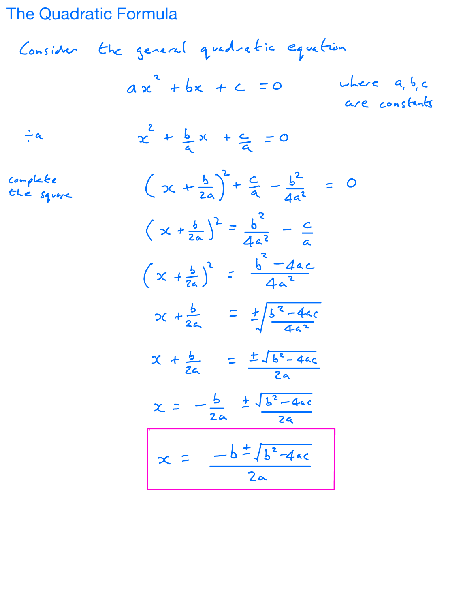The Quadratic Formula

Consider the general quadratic equation  
\n
$$
ax^2 + bx + c = 0
$$
 where  $a, b, c$   
\n $\div a$   
\n $\div a$   
\n $\frac{2}{a} + \frac{b}{a}x + \frac{c}{a} = 0$   
\n $\frac{c^{a} + b^{2}}{a} + \frac{c}{a} = \frac{b^{2}}{a}$   
\n $(x + \frac{b}{2a})^2 + \frac{c}{a} - \frac{b^{2}}{4a^2} = 0$   
\n $(x + \frac{b}{2a})^2 = \frac{b^{2}}{4a^2} - \frac{c}{a}$   
\n $(x + \frac{b}{2a})^2 = \frac{b^{2} - 4ac}{4a^2}$   
\n $x + \frac{b}{2a} = \pm \sqrt{\frac{b^{2} - 4ac}{4a^2}}$   
\n $x + \frac{b}{2a} = \pm \sqrt{b^{2} - 4ac}$   
\n $x = -\frac{b}{2a} \pm \sqrt{\frac{b^{2} - 4ac}{2a}}$   
\n $x = -\frac{b}{2a} \pm \sqrt{\frac{b^{2} - 4ac}{2a}}$   
\n $x = \frac{-b \pm \sqrt{b^{2} - 4ac}}{2a}$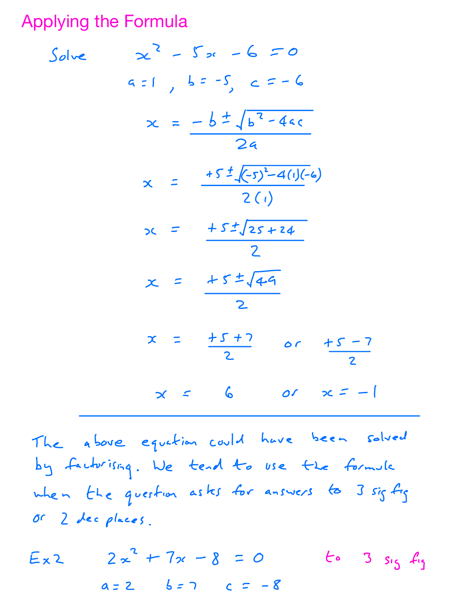**Applying the Formula** 

Solve 
$$
x^2 - 5x - 6 = 0
$$
  
\n $az1, b= -5, c=-6$   
\n $x = \frac{-b \pm \sqrt{b^2 - 4ac}}{2a}$   
\n $x = \frac{\pm 5 \pm \sqrt{(-5)^2 - 4(1)(-6)}}{2(1)}$   
\n $x = \frac{\pm 5 \pm \sqrt{25 + 24}}{2}$   
\n $x = \frac{\pm 5 \pm \sqrt{4-9}}{2}$   
\n $x = \frac{\pm 5 \pm \sqrt{4-9}}{2}$   
\n $x = \frac{\pm 5 \pm 7}{2}$  or  $\pm 5 - 7$   
\n $x = 6$  or  $x = -1$ 

The above equation could have been solved by factorising. We tend to use the formula when the question asks for answers to 3 sig fig or 2 dec places.

 $Ex2$   $2x^{2} + 7x - 8 = 0$ to 3 sig fig  $a = 2$   $b = 7$   $c = -8$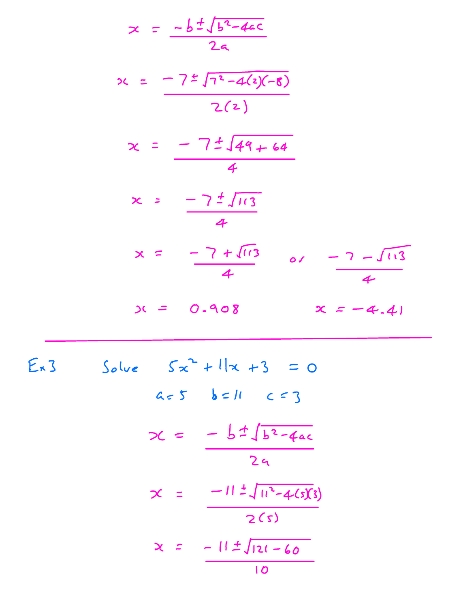$$
x = \frac{-b \pm \sqrt{b^{2} - 4ac}}{2a}
$$
\n
$$
x = \frac{-7 \pm \sqrt{a^{2} - 4(2)(-8)}}{2(2)}
$$
\n
$$
x = \frac{-7 \pm \sqrt{44 + 64}}{4}
$$
\n
$$
x = \frac{-7 \pm \sqrt{113}}{4}
$$
\n
$$
x = \frac{-7 \pm \sqrt{113}}{4}
$$
\n
$$
x = \frac{-7 \pm \sqrt{113}}{4}
$$
\n
$$
x = 0.908
$$
\n
$$
x = -4.41
$$
\n
$$
x = 3
$$
\n
$$
x = -4.41
$$
\n
$$
x = 5
$$
\n
$$
x = 11
$$
\n
$$
x = \frac{-b \pm \sqrt{b^{2} - 4ac}}{2a}
$$
\n
$$
x = \frac{-11 \pm \sqrt{a^{2} - 4(3)(3)}}{2(5)}
$$

$$
x = \frac{-11 \pm \sqrt{121 - 60}}{10}
$$